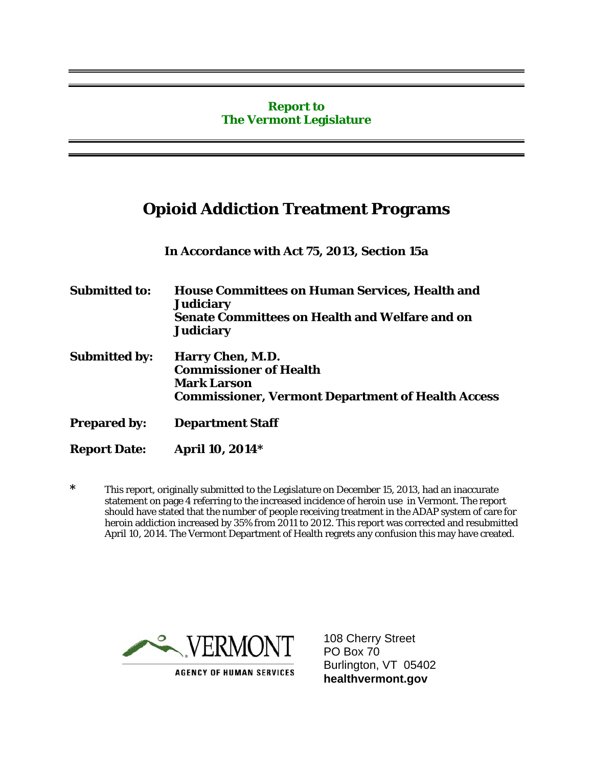#### **Report to The Vermont Legislature**

## **Opioid Addiction Treatment Programs**

**In Accordance with Act 75, 2013, Section 15a** 

**Submitted to: House Committees on Human Services, Health and Judiciary Senate Committees on Health and Welfare and on Judiciary** 

- **Submitted by: Harry Chen, M.D. Commissioner of Health Mark Larson Commissioner, Vermont Department of Health Access**
- **Prepared by: Department Staff**
- **Report Date: April 10, 2014\***

**\*** This report, originally submitted to the Legislature on December 15, 2013, had an inaccurate statement on page 4 referring to the increased incidence of heroin use in Vermont. The report should have stated that the number of people receiving treatment in the ADAP system of care for heroin addiction increased by 35% from 2011 to 2012. This report was corrected and resubmitted April 10, 2014. The Vermont Department of Health regrets any confusion this may have created.



108 Cherry Street PO Box 70 Burlington, VT 05402 **healthvermont.gov**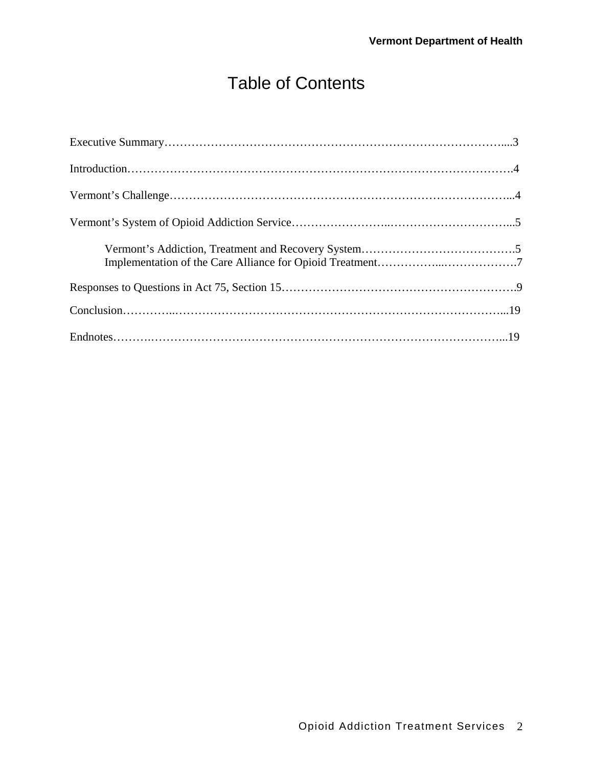# Table of Contents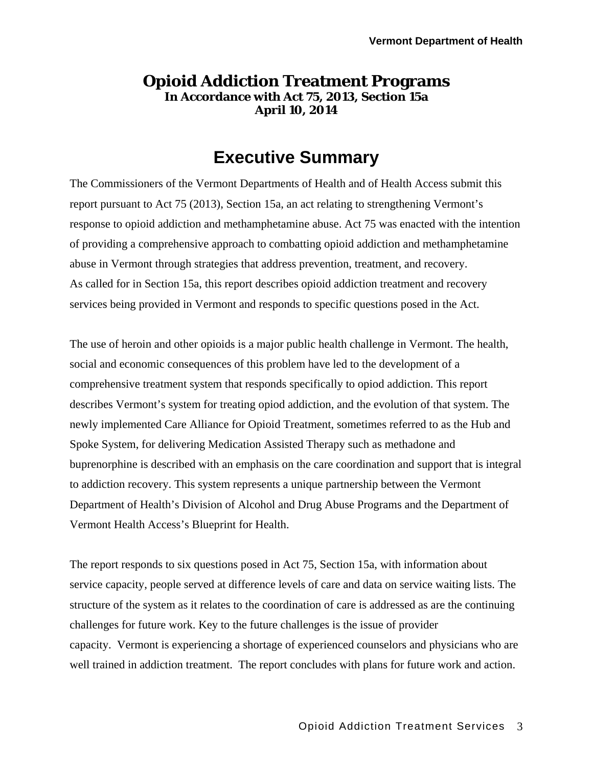### **Opioid Addiction Treatment Programs In Accordance with Act 75, 2013, Section 15a April 10, 2014**

# **Executive Summary**

The Commissioners of the Vermont Departments of Health and of Health Access submit this report pursuant to Act 75 (2013), Section 15a, an act relating to strengthening Vermont's response to opioid addiction and methamphetamine abuse. Act 75 was enacted with the intention of providing a comprehensive approach to combatting opioid addiction and methamphetamine abuse in Vermont through strategies that address prevention, treatment, and recovery. As called for in Section 15a, this report describes opioid addiction treatment and recovery services being provided in Vermont and responds to specific questions posed in the Act.

The use of heroin and other opioids is a major public health challenge in Vermont. The health, social and economic consequences of this problem have led to the development of a comprehensive treatment system that responds specifically to opiod addiction. This report describes Vermont's system for treating opiod addiction, and the evolution of that system. The newly implemented Care Alliance for Opioid Treatment, sometimes referred to as the Hub and Spoke System, for delivering Medication Assisted Therapy such as methadone and buprenorphine is described with an emphasis on the care coordination and support that is integral to addiction recovery. This system represents a unique partnership between the Vermont Department of Health's Division of Alcohol and Drug Abuse Programs and the Department of Vermont Health Access's Blueprint for Health.

The report responds to six questions posed in Act 75, Section 15a, with information about service capacity, people served at difference levels of care and data on service waiting lists. The structure of the system as it relates to the coordination of care is addressed as are the continuing challenges for future work. Key to the future challenges is the issue of provider capacity. Vermont is experiencing a shortage of experienced counselors and physicians who are well trained in addiction treatment. The report concludes with plans for future work and action.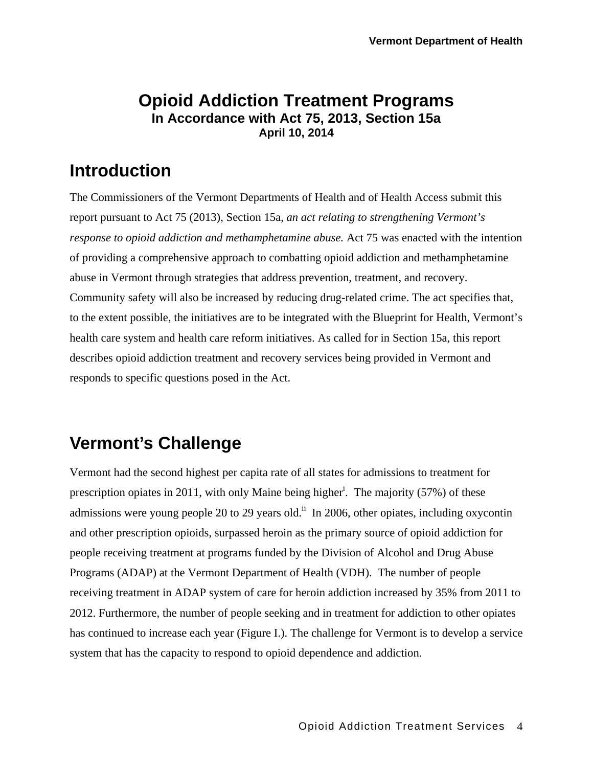### **Opioid Addiction Treatment Programs In Accordance with Act 75, 2013, Section 15a April 10, 2014**

# **Introduction**

The Commissioners of the Vermont Departments of Health and of Health Access submit this report pursuant to Act 75 (2013), Section 15a, *an act relating to strengthening Vermont's response to opioid addiction and methamphetamine abuse.* Act 75 was enacted with the intention of providing a comprehensive approach to combatting opioid addiction and methamphetamine abuse in Vermont through strategies that address prevention, treatment, and recovery. Community safety will also be increased by reducing drug-related crime. The act specifies that, to the extent possible, the initiatives are to be integrated with the Blueprint for Health, Vermont's health care system and health care reform initiatives. As called for in Section 15a, this report describes opioid addiction treatment and recovery services being provided in Vermont and responds to specific questions posed in the Act.

# **Vermont's Challenge**

Vermont had the second highest per capita rate of all states for admissions to treatment for prescription opiates in 2011, with only Maine being higher<sup>i</sup>. The majority (57%) of these admissions were young people 20 to 29 years old.<sup>ii</sup> In 2006, other opiates, including oxycontin and other prescription opioids, surpassed heroin as the primary source of opioid addiction for people receiving treatment at programs funded by the Division of Alcohol and Drug Abuse Programs (ADAP) at the Vermont Department of Health (VDH). The number of people receiving treatment in ADAP system of care for heroin addiction increased by 35% from 2011 to 2012. Furthermore, the number of people seeking and in treatment for addiction to other opiates has continued to increase each year (Figure I.). The challenge for Vermont is to develop a service system that has the capacity to respond to opioid dependence and addiction.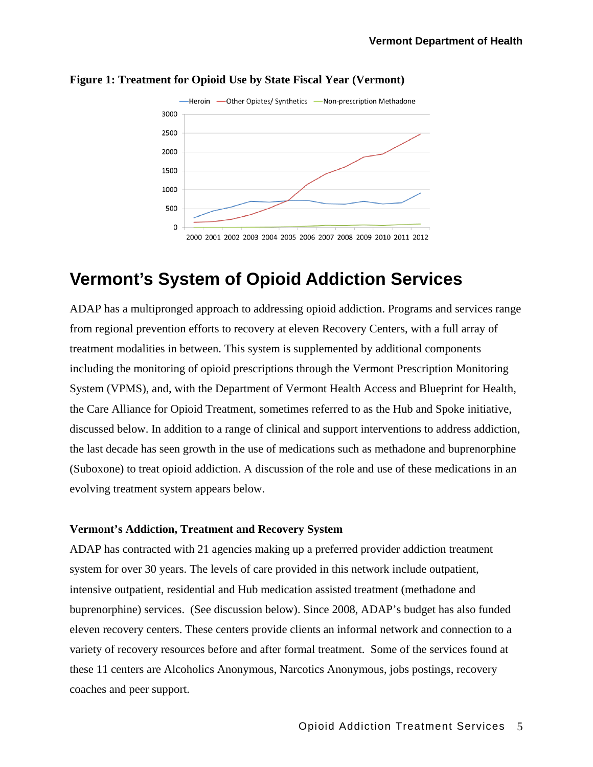

#### **Figure 1: Treatment for Opioid Use by State Fiscal Year (Vermont)**

## **Vermont's System of Opioid Addiction Services**

ADAP has a multipronged approach to addressing opioid addiction. Programs and services range from regional prevention efforts to recovery at eleven Recovery Centers, with a full array of treatment modalities in between. This system is supplemented by additional components including the monitoring of opioid prescriptions through the Vermont Prescription Monitoring System (VPMS), and, with the Department of Vermont Health Access and Blueprint for Health, the Care Alliance for Opioid Treatment, sometimes referred to as the Hub and Spoke initiative, discussed below. In addition to a range of clinical and support interventions to address addiction, the last decade has seen growth in the use of medications such as methadone and buprenorphine (Suboxone) to treat opioid addiction. A discussion of the role and use of these medications in an evolving treatment system appears below.

#### **Vermont's Addiction, Treatment and Recovery System**

ADAP has contracted with 21 agencies making up a preferred provider addiction treatment system for over 30 years. The levels of care provided in this network include outpatient, intensive outpatient, residential and Hub medication assisted treatment (methadone and buprenorphine) services. (See discussion below). Since 2008, ADAP's budget has also funded eleven recovery centers. These centers provide clients an informal network and connection to a variety of recovery resources before and after formal treatment. Some of the services found at these 11 centers are Alcoholics Anonymous, Narcotics Anonymous, jobs postings, recovery coaches and peer support.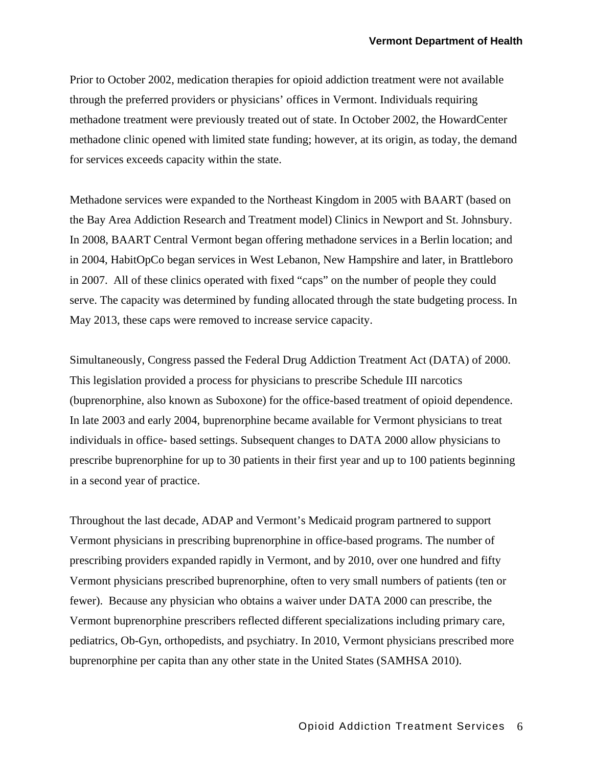Prior to October 2002, medication therapies for opioid addiction treatment were not available through the preferred providers or physicians' offices in Vermont. Individuals requiring methadone treatment were previously treated out of state. In October 2002, the HowardCenter methadone clinic opened with limited state funding; however, at its origin, as today, the demand for services exceeds capacity within the state.

Methadone services were expanded to the Northeast Kingdom in 2005 with BAART (based on the Bay Area Addiction Research and Treatment model) Clinics in Newport and St. Johnsbury. In 2008, BAART Central Vermont began offering methadone services in a Berlin location; and in 2004, HabitOpCo began services in West Lebanon, New Hampshire and later, in Brattleboro in 2007. All of these clinics operated with fixed "caps" on the number of people they could serve. The capacity was determined by funding allocated through the state budgeting process. In May 2013, these caps were removed to increase service capacity.

Simultaneously, Congress passed the Federal Drug Addiction Treatment Act (DATA) of 2000. This legislation provided a process for physicians to prescribe Schedule III narcotics (buprenorphine, also known as Suboxone) for the office-based treatment of opioid dependence. In late 2003 and early 2004, buprenorphine became available for Vermont physicians to treat individuals in office- based settings. Subsequent changes to DATA 2000 allow physicians to prescribe buprenorphine for up to 30 patients in their first year and up to 100 patients beginning in a second year of practice.

Throughout the last decade, ADAP and Vermont's Medicaid program partnered to support Vermont physicians in prescribing buprenorphine in office-based programs. The number of prescribing providers expanded rapidly in Vermont, and by 2010, over one hundred and fifty Vermont physicians prescribed buprenorphine, often to very small numbers of patients (ten or fewer). Because any physician who obtains a waiver under DATA 2000 can prescribe, the Vermont buprenorphine prescribers reflected different specializations including primary care, pediatrics, Ob-Gyn, orthopedists, and psychiatry. In 2010, Vermont physicians prescribed more buprenorphine per capita than any other state in the United States (SAMHSA 2010).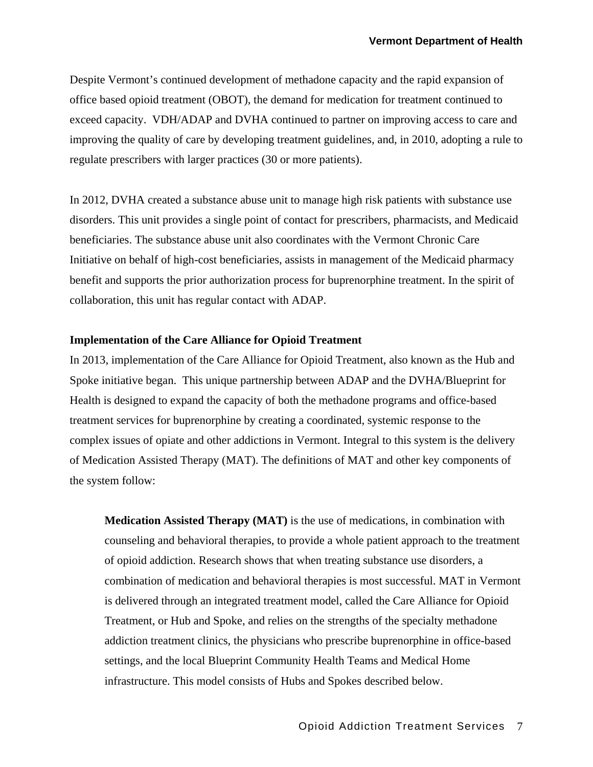Despite Vermont's continued development of methadone capacity and the rapid expansion of office based opioid treatment (OBOT), the demand for medication for treatment continued to exceed capacity. VDH/ADAP and DVHA continued to partner on improving access to care and improving the quality of care by developing treatment guidelines, and, in 2010, adopting a rule to regulate prescribers with larger practices (30 or more patients).

In 2012, DVHA created a substance abuse unit to manage high risk patients with substance use disorders. This unit provides a single point of contact for prescribers, pharmacists, and Medicaid beneficiaries. The substance abuse unit also coordinates with the Vermont Chronic Care Initiative on behalf of high-cost beneficiaries, assists in management of the Medicaid pharmacy benefit and supports the prior authorization process for buprenorphine treatment. In the spirit of collaboration, this unit has regular contact with ADAP.

#### **Implementation of the Care Alliance for Opioid Treatment**

In 2013, implementation of the Care Alliance for Opioid Treatment, also known as the Hub and Spoke initiative began. This unique partnership between ADAP and the DVHA/Blueprint for Health is designed to expand the capacity of both the methadone programs and office-based treatment services for buprenorphine by creating a coordinated, systemic response to the complex issues of opiate and other addictions in Vermont. Integral to this system is the delivery of Medication Assisted Therapy (MAT). The definitions of MAT and other key components of the system follow:

**Medication Assisted Therapy (MAT)** is the use of medications, in combination with counseling and behavioral therapies, to provide a whole patient approach to the treatment of opioid addiction. Research shows that when treating substance use disorders, a combination of medication and behavioral therapies is most successful. MAT in Vermont is delivered through an integrated treatment model, called the Care Alliance for Opioid Treatment, or Hub and Spoke, and relies on the strengths of the specialty methadone addiction treatment clinics, the physicians who prescribe buprenorphine in office-based settings, and the local Blueprint Community Health Teams and Medical Home infrastructure. This model consists of Hubs and Spokes described below.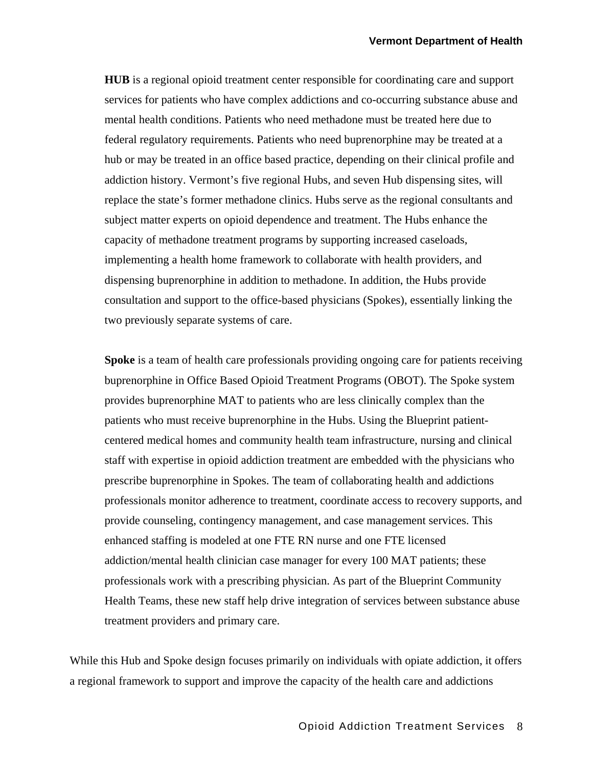**HUB** is a regional opioid treatment center responsible for coordinating care and support services for patients who have complex addictions and co-occurring substance abuse and mental health conditions. Patients who need methadone must be treated here due to federal regulatory requirements. Patients who need buprenorphine may be treated at a hub or may be treated in an office based practice, depending on their clinical profile and addiction history. Vermont's five regional Hubs, and seven Hub dispensing sites, will replace the state's former methadone clinics. Hubs serve as the regional consultants and subject matter experts on opioid dependence and treatment. The Hubs enhance the capacity of methadone treatment programs by supporting increased caseloads, implementing a health home framework to collaborate with health providers, and dispensing buprenorphine in addition to methadone. In addition, the Hubs provide consultation and support to the office-based physicians (Spokes), essentially linking the two previously separate systems of care.

**Spoke** is a team of health care professionals providing ongoing care for patients receiving buprenorphine in Office Based Opioid Treatment Programs (OBOT). The Spoke system provides buprenorphine MAT to patients who are less clinically complex than the patients who must receive buprenorphine in the Hubs. Using the Blueprint patientcentered medical homes and community health team infrastructure, nursing and clinical staff with expertise in opioid addiction treatment are embedded with the physicians who prescribe buprenorphine in Spokes. The team of collaborating health and addictions professionals monitor adherence to treatment, coordinate access to recovery supports, and provide counseling, contingency management, and case management services. This enhanced staffing is modeled at one FTE RN nurse and one FTE licensed addiction/mental health clinician case manager for every 100 MAT patients; these professionals work with a prescribing physician. As part of the Blueprint Community Health Teams, these new staff help drive integration of services between substance abuse treatment providers and primary care.

While this Hub and Spoke design focuses primarily on individuals with opiate addiction, it offers a regional framework to support and improve the capacity of the health care and addictions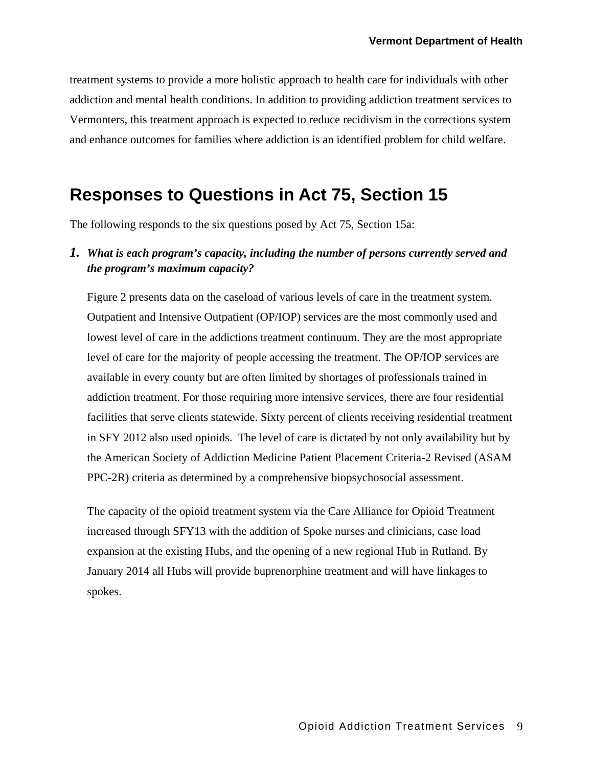treatment systems to provide a more holistic approach to health care for individuals with other addiction and mental health conditions. In addition to providing addiction treatment services to Vermonters, this treatment approach is expected to reduce recidivism in the corrections system and enhance outcomes for families where addiction is an identified problem for child welfare.

## **Responses to Questions in Act 75, Section 15**

The following responds to the six questions posed by Act 75, Section 15a:

### *1. What is each program's capacity, including the number of persons currently served and the program's maximum capacity?*

Figure 2 presents data on the caseload of various levels of care in the treatment system. Outpatient and Intensive Outpatient (OP/IOP) services are the most commonly used and lowest level of care in the addictions treatment continuum. They are the most appropriate level of care for the majority of people accessing the treatment. The OP/IOP services are available in every county but are often limited by shortages of professionals trained in addiction treatment. For those requiring more intensive services, there are four residential facilities that serve clients statewide. Sixty percent of clients receiving residential treatment in SFY 2012 also used opioids. The level of care is dictated by not only availability but by the American Society of Addiction Medicine Patient Placement Criteria-2 Revised (ASAM PPC-2R) criteria as determined by a comprehensive biopsychosocial assessment.

The capacity of the opioid treatment system via the Care Alliance for Opioid Treatment increased through SFY13 with the addition of Spoke nurses and clinicians, case load expansion at the existing Hubs, and the opening of a new regional Hub in Rutland. By January 2014 all Hubs will provide buprenorphine treatment and will have linkages to spokes.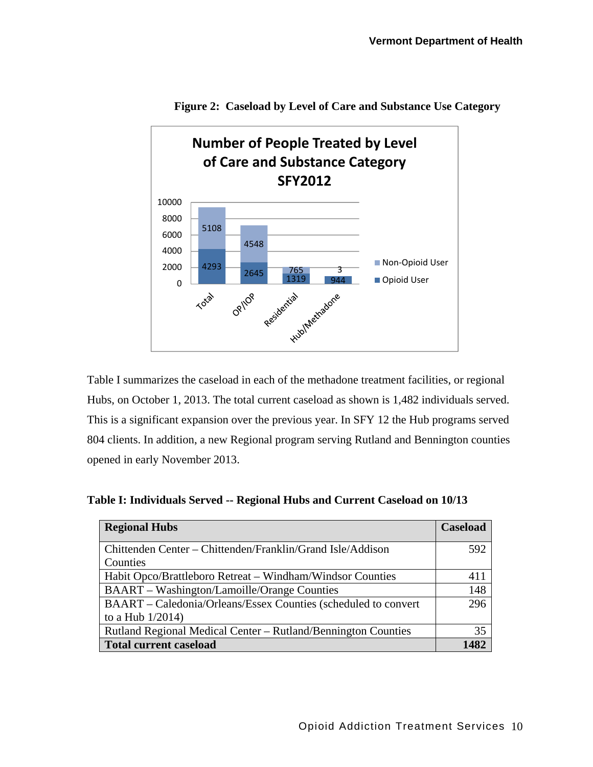

**Figure 2: Caseload by Level of Care and Substance Use Category** 

Table I summarizes the caseload in each of the methadone treatment facilities, or regional Hubs, on October 1, 2013. The total current caseload as shown is 1,482 individuals served. This is a significant expansion over the previous year. In SFY 12 the Hub programs served 804 clients. In addition, a new Regional program serving Rutland and Bennington counties opened in early November 2013.

| <b>Regional Hubs</b>                                           | <b>Caseload</b> |
|----------------------------------------------------------------|-----------------|
| Chittenden Center – Chittenden/Franklin/Grand Isle/Addison     | 592             |
| Counties                                                       |                 |
| Habit Opco/Brattleboro Retreat – Windham/Windsor Counties      | 411             |
| <b>BAART</b> – Washington/Lamoille/Orange Counties             | 148             |
| BAART – Caledonia/Orleans/Essex Counties (scheduled to convert | 296             |
| to a Hub $1/2014$ )                                            |                 |
| Rutland Regional Medical Center – Rutland/Bennington Counties  | 35              |
| <b>Total current caseload</b>                                  |                 |

**Table I: Individuals Served -- Regional Hubs and Current Caseload on 10/13**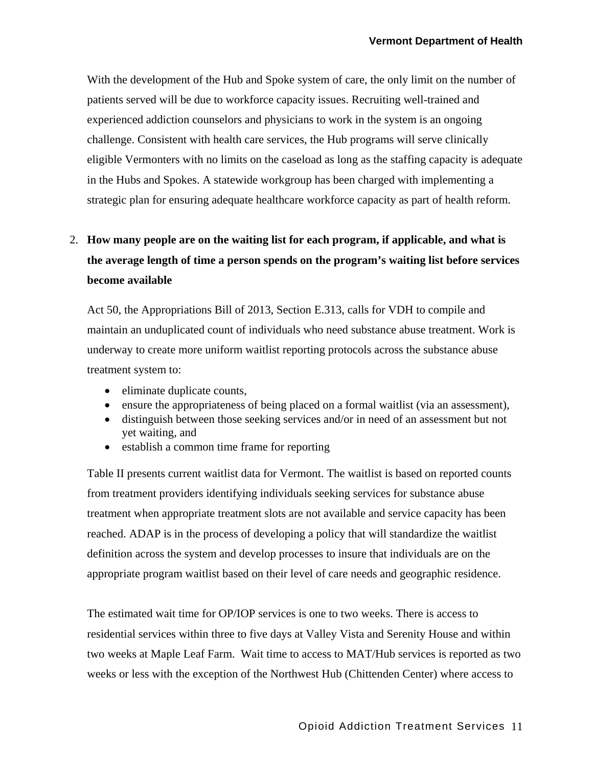With the development of the Hub and Spoke system of care, the only limit on the number of patients served will be due to workforce capacity issues. Recruiting well-trained and experienced addiction counselors and physicians to work in the system is an ongoing challenge. Consistent with health care services, the Hub programs will serve clinically eligible Vermonters with no limits on the caseload as long as the staffing capacity is adequate in the Hubs and Spokes. A statewide workgroup has been charged with implementing a strategic plan for ensuring adequate healthcare workforce capacity as part of health reform.

### 2. **How many people are on the waiting list for each program, if applicable, and what is the average length of time a person spends on the program's waiting list before services become available**

Act 50, the Appropriations Bill of 2013, Section E.313, calls for VDH to compile and maintain an unduplicated count of individuals who need substance abuse treatment. Work is underway to create more uniform waitlist reporting protocols across the substance abuse treatment system to:

- eliminate duplicate counts,
- ensure the appropriateness of being placed on a formal waitlist (via an assessment),
- distinguish between those seeking services and/or in need of an assessment but not yet waiting, and
- establish a common time frame for reporting

Table II presents current waitlist data for Vermont. The waitlist is based on reported counts from treatment providers identifying individuals seeking services for substance abuse treatment when appropriate treatment slots are not available and service capacity has been reached. ADAP is in the process of developing a policy that will standardize the waitlist definition across the system and develop processes to insure that individuals are on the appropriate program waitlist based on their level of care needs and geographic residence.

The estimated wait time for OP/IOP services is one to two weeks. There is access to residential services within three to five days at Valley Vista and Serenity House and within two weeks at Maple Leaf Farm. Wait time to access to MAT/Hub services is reported as two weeks or less with the exception of the Northwest Hub (Chittenden Center) where access to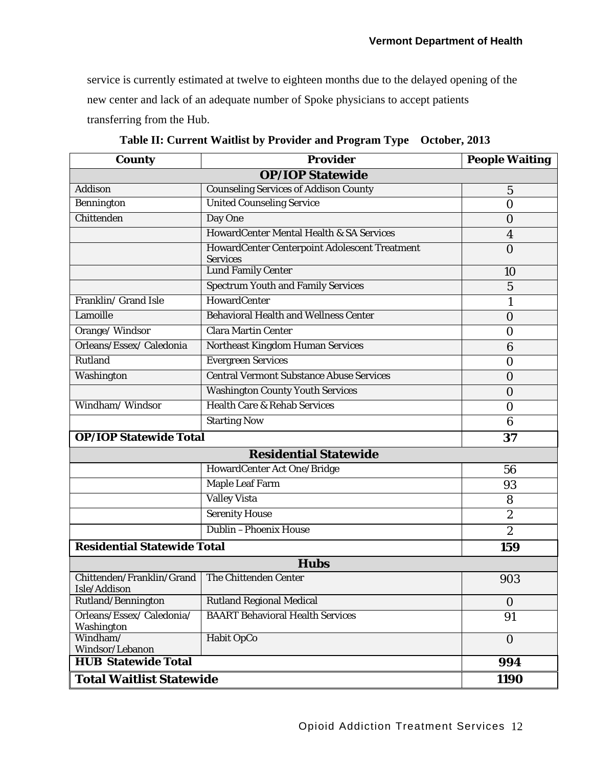service is currently estimated at twelve to eighteen months due to the delayed opening of the new center and lack of an adequate number of Spoke physicians to accept patients transferring from the Hub.

| <b>County</b>                                                     | <b>Provider</b>                                                  | <b>People Waiting</b> |  |  |
|-------------------------------------------------------------------|------------------------------------------------------------------|-----------------------|--|--|
| <b>OP/IOP Statewide</b>                                           |                                                                  |                       |  |  |
| <b>Addison</b>                                                    | <b>Counseling Services of Addison County</b>                     | $\overline{5}$        |  |  |
| <b>Bennington</b>                                                 | <b>United Counseling Service</b>                                 | $\overline{0}$        |  |  |
| Chittenden                                                        | Day One                                                          | $\bf{0}$              |  |  |
|                                                                   | HowardCenter Mental Health & SA Services                         | 4                     |  |  |
|                                                                   | HowardCenter Centerpoint Adolescent Treatment<br><b>Services</b> | $\mathbf 0$           |  |  |
|                                                                   | <b>Lund Family Center</b>                                        | 10                    |  |  |
|                                                                   | <b>Spectrum Youth and Family Services</b>                        | $\overline{5}$        |  |  |
| Franklin/ Grand Isle                                              | HowardCenter                                                     | $\mathbf{1}$          |  |  |
| Lamoille                                                          | <b>Behavioral Health and Wellness Center</b>                     | $\mathbf 0$           |  |  |
| Orange/Windsor                                                    | Clara Martin Center                                              | 0                     |  |  |
| Orleans/Essex/Caledonia                                           | Northeast Kingdom Human Services                                 | 6                     |  |  |
| Rutland                                                           | <b>Evergreen Services</b>                                        | $\bf{0}$              |  |  |
| Washington                                                        | <b>Central Vermont Substance Abuse Services</b>                  | $\overline{0}$        |  |  |
|                                                                   | <b>Washington County Youth Services</b>                          | 0                     |  |  |
| Windham/Windsor                                                   | <b>Health Care &amp; Rehab Services</b>                          | $\bf{0}$              |  |  |
|                                                                   | <b>Starting Now</b>                                              | 6                     |  |  |
| <b>OP/IOP Statewide Total</b>                                     |                                                                  | 37                    |  |  |
|                                                                   | <b>Residential Statewide</b>                                     |                       |  |  |
|                                                                   | HowardCenter Act One/Bridge                                      | 56                    |  |  |
|                                                                   | <b>Maple Leaf Farm</b>                                           | 93                    |  |  |
|                                                                   | <b>Valley Vista</b>                                              | 8                     |  |  |
|                                                                   | <b>Serenity House</b>                                            | $\overline{2}$        |  |  |
|                                                                   | Dublin - Phoenix House                                           | $\boldsymbol{2}$      |  |  |
| <b>Residential Statewide Total</b>                                |                                                                  | 159                   |  |  |
|                                                                   | <b>Hubs</b>                                                      |                       |  |  |
| Chittenden/Franklin/Grand   The Chittenden Center<br>Isle/Addison |                                                                  | 903                   |  |  |
| Rutland/Bennington                                                | <b>Rutland Regional Medical</b>                                  | $\bf{0}$              |  |  |
| Orleans/Essex/Caledonia/<br>Washington                            | <b>BAART Behavioral Health Services</b>                          | 91                    |  |  |
| Windham/<br>Windsor/Lebanon                                       | Habit OpCo                                                       | $\mathbf{0}$          |  |  |
| <b>HUB Statewide Total</b>                                        |                                                                  | 994                   |  |  |
| <b>Total Waitlist Statewide</b>                                   |                                                                  | <b>1190</b>           |  |  |

**Table II: Current Waitlist by Provider and Program Type October, 2013**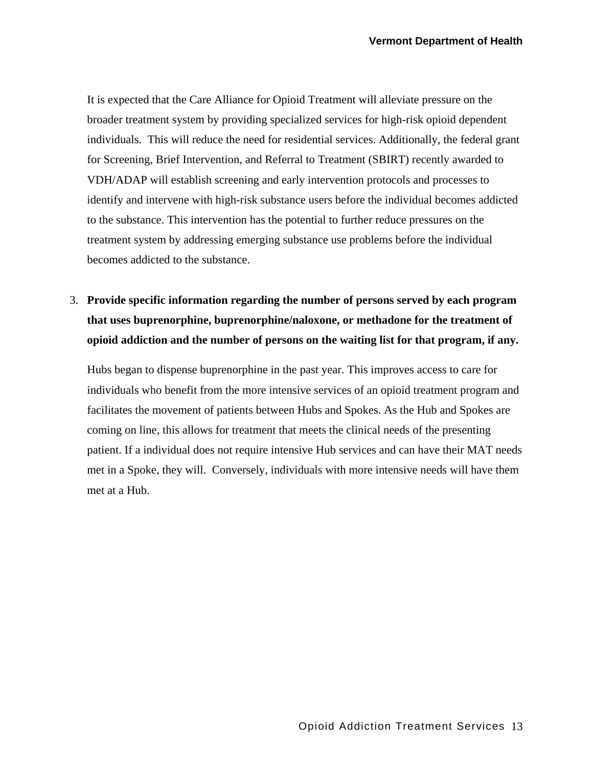It is expected that the Care Alliance for Opioid Treatment will alleviate pressure on the broader treatment system by providing specialized services for high-risk opioid dependent individuals. This will reduce the need for residential services. Additionally, the federal grant for Screening, Brief Intervention, and Referral to Treatment (SBIRT) recently awarded to VDH/ADAP will establish screening and early intervention protocols and processes to identify and intervene with high-risk substance users before the individual becomes addicted to the substance. This intervention has the potential to further reduce pressures on the treatment system by addressing emerging substance use problems before the individual becomes addicted to the substance.

3. **Provide specific information regarding the number of persons served by each program that uses buprenorphine, buprenorphine/naloxone, or methadone for the treatment of opioid addiction and the number of persons on the waiting list for that program, if any.**

Hubs began to dispense buprenorphine in the past year. This improves access to care for individuals who benefit from the more intensive services of an opioid treatment program and facilitates the movement of patients between Hubs and Spokes. As the Hub and Spokes are coming on line, this allows for treatment that meets the clinical needs of the presenting patient. If a individual does not require intensive Hub services and can have their MAT needs met in a Spoke, they will. Conversely, individuals with more intensive needs will have them met at a Hub.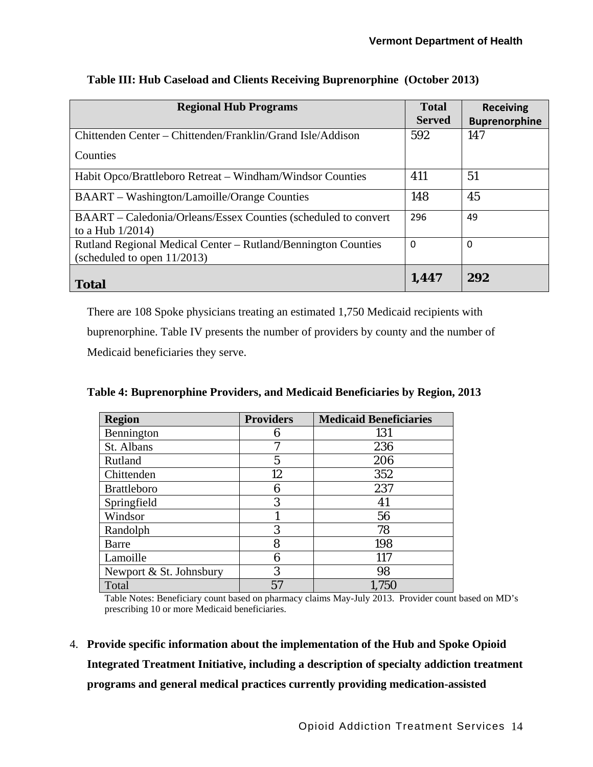| <b>Regional Hub Programs</b>                                                                    | <b>Total</b><br><b>Served</b> | <b>Receiving</b><br><b>Buprenorphine</b> |
|-------------------------------------------------------------------------------------------------|-------------------------------|------------------------------------------|
| Chittenden Center – Chittenden/Franklin/Grand Isle/Addison                                      | 592                           | 147                                      |
| Counties                                                                                        |                               |                                          |
| Habit Opco/Brattleboro Retreat - Windham/Windsor Counties                                       | 411                           | 51                                       |
| <b>BAART</b> – Washington/Lamoille/Orange Counties                                              | 148                           | 45                                       |
| BAART – Caledonia/Orleans/Essex Counties (scheduled to convert<br>to a Hub $1/2014$ )           | 296                           | 49                                       |
| Rutland Regional Medical Center – Rutland/Bennington Counties<br>(scheduled to open $11/2013$ ) | $\Omega$                      | $\Omega$                                 |
| <b>Total</b>                                                                                    | 1,447                         | 292                                      |

#### **Table III: Hub Caseload and Clients Receiving Buprenorphine (October 2013)**

There are 108 Spoke physicians treating an estimated 1,750 Medicaid recipients with buprenorphine. Table IV presents the number of providers by county and the number of Medicaid beneficiaries they serve.

| <b>Region</b>           | <b>Providers</b> | <b>Medicaid Beneficiaries</b> |
|-------------------------|------------------|-------------------------------|
| Bennington              | 6                | 131                           |
| St. Albans              |                  | 236                           |
| Rutland                 | 5                | 206                           |
| Chittenden              | 12               | 352                           |
| <b>Brattleboro</b>      | 6                | 237                           |
| Springfield             | 3                | 41                            |
| Windsor                 |                  | 56                            |
| Randolph                | 3                | 78                            |
| Barre                   | 8                | 198                           |
| Lamoille                | 6                | 117                           |
| Newport & St. Johnsbury | 3                | 98                            |
| Total                   | 57               | 1,750                         |

**Table 4: Buprenorphine Providers, and Medicaid Beneficiaries by Region, 2013** 

Table Notes: Beneficiary count based on pharmacy claims May-July 2013. Provider count based on MD's prescribing 10 or more Medicaid beneficiaries.

4. **Provide specific information about the implementation of the Hub and Spoke Opioid Integrated Treatment Initiative, including a description of specialty addiction treatment programs and general medical practices currently providing medication-assisted**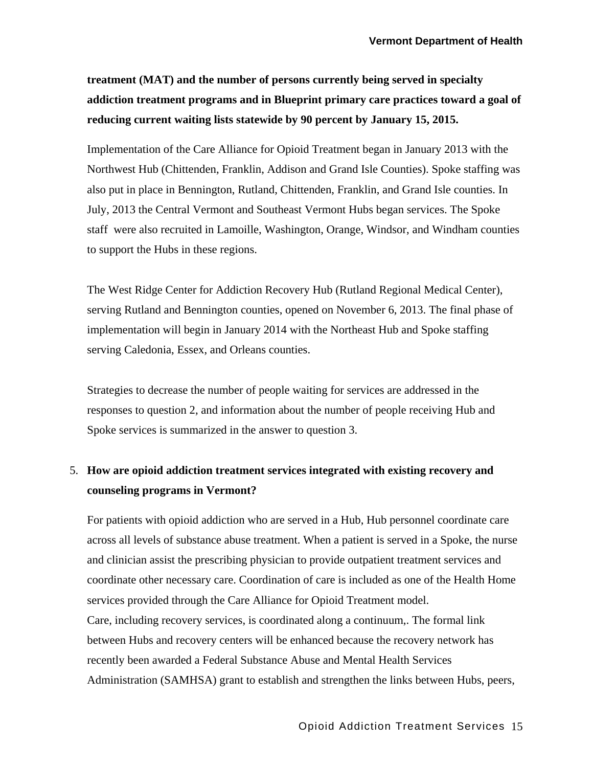**treatment (MAT) and the number of persons currently being served in specialty addiction treatment programs and in Blueprint primary care practices toward a goal of reducing current waiting lists statewide by 90 percent by January 15, 2015.**

Implementation of the Care Alliance for Opioid Treatment began in January 2013 with the Northwest Hub (Chittenden, Franklin, Addison and Grand Isle Counties). Spoke staffing was also put in place in Bennington, Rutland, Chittenden, Franklin, and Grand Isle counties. In July, 2013 the Central Vermont and Southeast Vermont Hubs began services. The Spoke staff were also recruited in Lamoille, Washington, Orange, Windsor, and Windham counties to support the Hubs in these regions.

The West Ridge Center for Addiction Recovery Hub (Rutland Regional Medical Center), serving Rutland and Bennington counties, opened on November 6, 2013. The final phase of implementation will begin in January 2014 with the Northeast Hub and Spoke staffing serving Caledonia, Essex, and Orleans counties.

Strategies to decrease the number of people waiting for services are addressed in the responses to question 2, and information about the number of people receiving Hub and Spoke services is summarized in the answer to question 3.

### 5. **How are opioid addiction treatment services integrated with existing recovery and counseling programs in Vermont?**

For patients with opioid addiction who are served in a Hub, Hub personnel coordinate care across all levels of substance abuse treatment. When a patient is served in a Spoke, the nurse and clinician assist the prescribing physician to provide outpatient treatment services and coordinate other necessary care. Coordination of care is included as one of the Health Home services provided through the Care Alliance for Opioid Treatment model. Care, including recovery services, is coordinated along a continuum,. The formal link between Hubs and recovery centers will be enhanced because the recovery network has recently been awarded a Federal Substance Abuse and Mental Health Services Administration (SAMHSA) grant to establish and strengthen the links between Hubs, peers,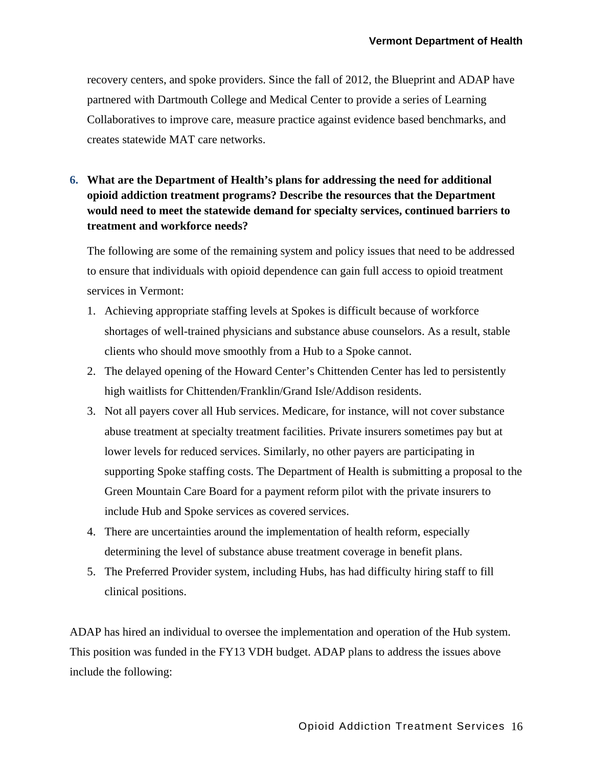recovery centers, and spoke providers. Since the fall of 2012, the Blueprint and ADAP have partnered with Dartmouth College and Medical Center to provide a series of Learning Collaboratives to improve care, measure practice against evidence based benchmarks, and creates statewide MAT care networks.

### **6. What are the Department of Health's plans for addressing the need for additional opioid addiction treatment programs? Describe the resources that the Department would need to meet the statewide demand for specialty services, continued barriers to treatment and workforce needs?**

The following are some of the remaining system and policy issues that need to be addressed to ensure that individuals with opioid dependence can gain full access to opioid treatment services in Vermont:

- 1. Achieving appropriate staffing levels at Spokes is difficult because of workforce shortages of well-trained physicians and substance abuse counselors. As a result, stable clients who should move smoothly from a Hub to a Spoke cannot.
- 2. The delayed opening of the Howard Center's Chittenden Center has led to persistently high waitlists for Chittenden/Franklin/Grand Isle/Addison residents.
- 3. Not all payers cover all Hub services. Medicare, for instance, will not cover substance abuse treatment at specialty treatment facilities. Private insurers sometimes pay but at lower levels for reduced services. Similarly, no other payers are participating in supporting Spoke staffing costs. The Department of Health is submitting a proposal to the Green Mountain Care Board for a payment reform pilot with the private insurers to include Hub and Spoke services as covered services.
- 4. There are uncertainties around the implementation of health reform, especially determining the level of substance abuse treatment coverage in benefit plans.
- 5. The Preferred Provider system, including Hubs, has had difficulty hiring staff to fill clinical positions.

ADAP has hired an individual to oversee the implementation and operation of the Hub system. This position was funded in the FY13 VDH budget. ADAP plans to address the issues above include the following: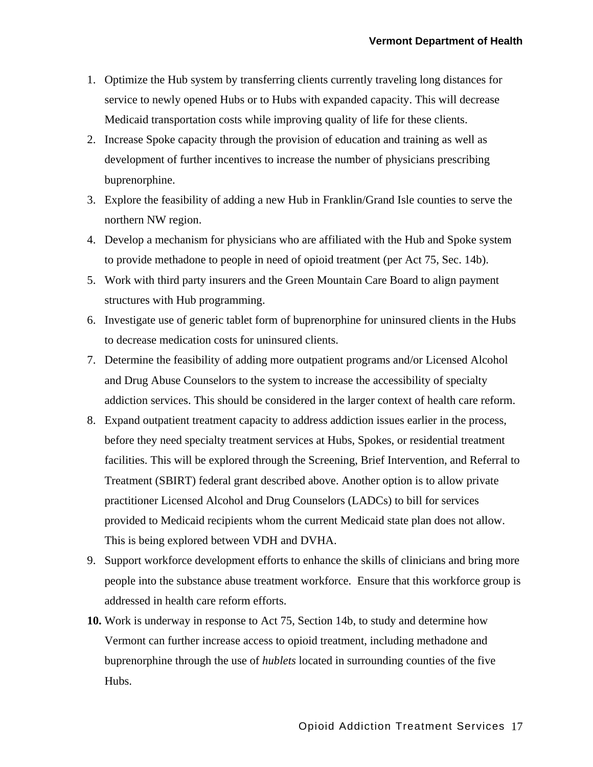- 1. Optimize the Hub system by transferring clients currently traveling long distances for service to newly opened Hubs or to Hubs with expanded capacity. This will decrease Medicaid transportation costs while improving quality of life for these clients.
- 2. Increase Spoke capacity through the provision of education and training as well as development of further incentives to increase the number of physicians prescribing buprenorphine.
- 3. Explore the feasibility of adding a new Hub in Franklin/Grand Isle counties to serve the northern NW region.
- 4. Develop a mechanism for physicians who are affiliated with the Hub and Spoke system to provide methadone to people in need of opioid treatment (per Act 75, Sec. 14b).
- 5. Work with third party insurers and the Green Mountain Care Board to align payment structures with Hub programming.
- 6. Investigate use of generic tablet form of buprenorphine for uninsured clients in the Hubs to decrease medication costs for uninsured clients.
- 7. Determine the feasibility of adding more outpatient programs and/or Licensed Alcohol and Drug Abuse Counselors to the system to increase the accessibility of specialty addiction services. This should be considered in the larger context of health care reform.
- 8. Expand outpatient treatment capacity to address addiction issues earlier in the process, before they need specialty treatment services at Hubs, Spokes, or residential treatment facilities. This will be explored through the Screening, Brief Intervention, and Referral to Treatment (SBIRT) federal grant described above. Another option is to allow private practitioner Licensed Alcohol and Drug Counselors (LADCs) to bill for services provided to Medicaid recipients whom the current Medicaid state plan does not allow. This is being explored between VDH and DVHA.
- 9. Support workforce development efforts to enhance the skills of clinicians and bring more people into the substance abuse treatment workforce. Ensure that this workforce group is addressed in health care reform efforts.
- **10.** Work is underway in response to Act 75, Section 14b, to study and determine how Vermont can further increase access to opioid treatment, including methadone and buprenorphine through the use of *hublets* located in surrounding counties of the five Hubs.